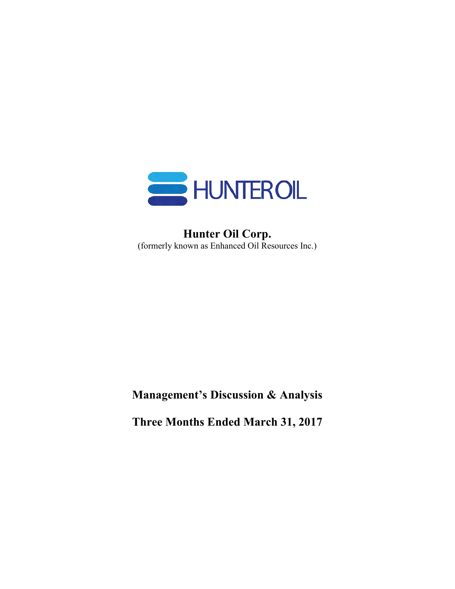

# **Hunter Oil Corp.** (formerly known as Enhanced Oil Resources Inc.)

**Management's Discussion & Analysis**

**Three Months Ended March 31, 2017**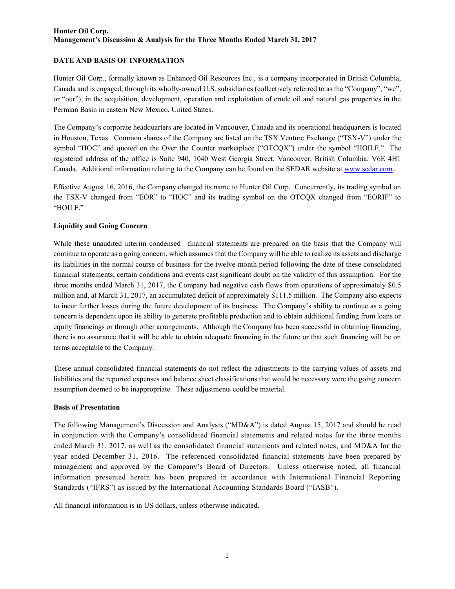#### **DATE AND BASIS OF INFORMATION**

Hunter Oil Corp., formally known as Enhanced Oil Resources Inc., is a company incorporated in British Columbia, Canada and is engaged, through its wholly-owned U.S. subsidiaries (collectively referred to as the "Company", "we", or "our"), in the acquisition, development, operation and exploitation of crude oil and natural gas properties in the Permian Basin in eastern New Mexico, United States.

The Company's corporate headquarters are located in Vancouver, Canada and its operational headquarters is located in Houston, Texas. Common shares of the Company are listed on the TSX Venture Exchange ("TSX-V") under the symbol "HOC" and quoted on the Over the Counter marketplace ("OTCQX") under the symbol "HOILF." The registered address of the office is Suite 940, 1040 West Georgia Street, Vancouver, British Columbia, V6E 4H1 Canada. Additional information relating to the Company can be found on the SEDAR website at [www.sedar.com.](http://www.sedar.com/)

Effective August 16, 2016, the Company changed its name to Hunter Oil Corp. Concurrently, its trading symbol on the TSX-V changed from "EOR" to "HOC" and its trading symbol on the OTCQX changed from "EORIF" to "HOILF."

#### **Liquidity and Going Concern**

While these unaudited interim condensed financial statements are prepared on the basis that the Company will continue to operate as a going concern, which assumes that the Company will be able to realize its assets and discharge its liabilities in the normal course of business for the twelve-month period following the date of these consolidated financial statements, certain conditions and events cast significant doubt on the validity of this assumption. For the three months ended March 31, 2017, the Company had negative cash flows from operations of approximately \$0.5 million and, at March 31, 2017, an accumulated deficit of approximately \$111.5 million. The Company also expects to incur further losses during the future development of its business. The Company's ability to continue as a going concern is dependent upon its ability to generate profitable production and to obtain additional funding from loans or equity financings or through other arrangements. Although the Company has been successful in obtaining financing, there is no assurance that it will be able to obtain adequate financing in the future or that such financing will be on terms acceptable to the Company.

These annual consolidated financial statements do not reflect the adjustments to the carrying values of assets and liabilities and the reported expenses and balance sheet classifications that would be necessary were the going concern assumption deemed to be inappropriate. These adjustments could be material.

#### **Basis of Presentation**

The following Management's Discussion and Analysis ("MD&A") is dated August 15, 2017 and should be read in conjunction with the Company's consolidated financial statements and related notes for the three months ended March 31, 2017, as well as the consolidated financial statements and related notes, and MD&A for the year ended December 31, 2016. The referenced consolidated financial statements have been prepared by management and approved by the Company's Board of Directors. Unless otherwise noted, all financial information presented herein has been prepared in accordance with International Financial Reporting Standards ("IFRS") as issued by the International Accounting Standards Board ("IASB").

All financial information is in US dollars, unless otherwise indicated.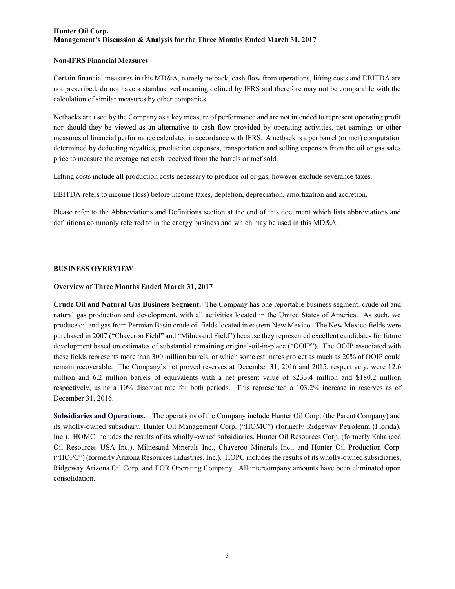#### **Non-IFRS Financial Measures**

Certain financial measures in this MD&A, namely netback, cash flow from operations, lifting costs and EBITDA are not prescribed, do not have a standardized meaning defined by IFRS and therefore may not be comparable with the calculation of similar measures by other companies.

Netbacks are used by the Company as a key measure of performance and are not intended to represent operating profit nor should they be viewed as an alternative to cash flow provided by operating activities, net earnings or other measures of financial performance calculated in accordance with IFRS. A netback is a per barrel (or mcf) computation determined by deducting royalties, production expenses, transportation and selling expenses from the oil or gas sales price to measure the average net cash received from the barrels or mcf sold.

Lifting costs include all production costs necessary to produce oil or gas, however exclude severance taxes.

EBITDA refers to income (loss) before income taxes, depletion, depreciation, amortization and accretion.

Please refer to the Abbreviations and Definitions section at the end of this document which lists abbreviations and definitions commonly referred to in the energy business and which may be used in this MD&A.

#### **BUSINESS OVERVIEW**

#### **Overview of Three Months Ended March 31, 2017**

**Crude Oil and Natural Gas Business Segment.** The Company has one reportable business segment, crude oil and natural gas production and development, with all activities located in the United States of America. As such, we produce oil and gas from Permian Basin crude oil fields located in eastern New Mexico. The New Mexico fields were purchased in 2007 ("Chaveroo Field" and "Milnesand Field") because they represented excellent candidates for future development based on estimates of substantial remaining original-oil-in-place ("OOIP"). The OOIP associated with these fields represents more than 300 million barrels, of which some estimates project as much as 20% of OOIP could remain recoverable. The Company's net proved reserves at December 31, 2016 and 2015, respectively, were 12.6 million and 6.2 million barrels of equivalents with a net present value of \$233.4 million and \$180.2 million respectively, using a 10% discount rate for both periods. This represented a 103.2% increase in reserves as of December 31, 2016.

**Subsidiaries and Operations.** The operations of the Company include Hunter Oil Corp. (the Parent Company) and its wholly-owned subsidiary, Hunter Oil Management Corp. ("HOMC") (formerly Ridgeway Petroleum (Florida), Inc.). HOMC includes the results of its wholly-owned subsidiaries, Hunter Oil Resources Corp. (formerly Enhanced Oil Resources USA Inc.), Milnesand Minerals Inc., Chaveroo Minerals Inc., and Hunter Oil Production Corp. ("HOPC") (formerly Arizona Resources Industries, Inc.). HOPC includes the results of its wholly-owned subsidiaries, Ridgeway Arizona Oil Corp. and EOR Operating Company. All intercompany amounts have been eliminated upon consolidation.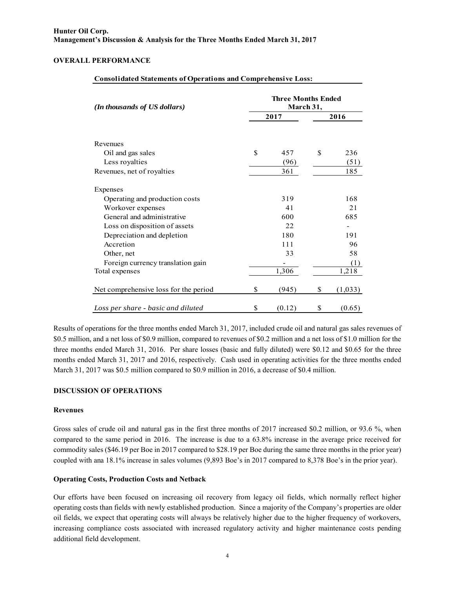#### **OVERALL PERFORMANCE**

| (In thousands of US dollars)          | <b>Three Months Ended</b><br>March 31, |        |      |         |  |  |  |  |
|---------------------------------------|----------------------------------------|--------|------|---------|--|--|--|--|
|                                       |                                        | 2017   | 2016 |         |  |  |  |  |
| Revenues                              |                                        |        |      |         |  |  |  |  |
| Oil and gas sales                     | \$                                     | 457    | \$   | 236     |  |  |  |  |
| Less royalties                        |                                        | (96)   |      | (51)    |  |  |  |  |
| Revenues, net of royalties            |                                        | 361    |      | 185     |  |  |  |  |
| Expenses                              |                                        |        |      |         |  |  |  |  |
| Operating and production costs        |                                        | 319    |      | 168     |  |  |  |  |
| Workover expenses                     |                                        | 41     |      | 21      |  |  |  |  |
| General and administrative            |                                        | 600    |      | 685     |  |  |  |  |
| Loss on disposition of assets         |                                        | 22     |      |         |  |  |  |  |
| Depreciation and depletion            |                                        | 180    |      | 191     |  |  |  |  |
| Accretion                             |                                        | 111    |      | 96      |  |  |  |  |
| Other, net                            |                                        | 33     |      | 58      |  |  |  |  |
| Foreign currency translation gain     |                                        |        |      | (1)     |  |  |  |  |
| Total expenses                        |                                        | 1,306  |      | 1,218   |  |  |  |  |
| Net comprehensive loss for the period | \$                                     | (945)  | \$   | (1,033) |  |  |  |  |
| Loss per share - basic and diluted    | \$                                     | (0.12) | \$   | (0.65)  |  |  |  |  |

#### **Consolidated Statements of Operations and Comprehensive Loss:**

Results of operations for the three months ended March 31, 2017, included crude oil and natural gas sales revenues of \$0.5 million, and a net loss of \$0.9 million, compared to revenues of \$0.2 million and a net loss of \$1.0 million for the three months ended March 31, 2016. Per share losses (basic and fully diluted) were \$0.12 and \$0.65 for the three months ended March 31, 2017 and 2016, respectively. Cash used in operating activities for the three months ended March 31, 2017 was \$0.5 million compared to \$0.9 million in 2016, a decrease of \$0.4 million.

#### **DISCUSSION OF OPERATIONS**

#### **Revenues**

Gross sales of crude oil and natural gas in the first three months of 2017 increased \$0.2 million, or 93.6 %, when compared to the same period in 2016. The increase is due to a 63.8% increase in the average price received for commodity sales (\$46.19 per Boe in 2017 compared to \$28.19 per Boe during the same three months in the prior year) coupled with ana 18.1% increase in sales volumes (9,893 Boe's in 2017 compared to 8,378 Boe's in the prior year).

#### **Operating Costs, Production Costs and Netback**

Our efforts have been focused on increasing oil recovery from legacy oil fields, which normally reflect higher operating costs than fields with newly established production. Since a majority of the Company's properties are older oil fields, we expect that operating costs will always be relatively higher due to the higher frequency of workovers, increasing compliance costs associated with increased regulatory activity and higher maintenance costs pending additional field development.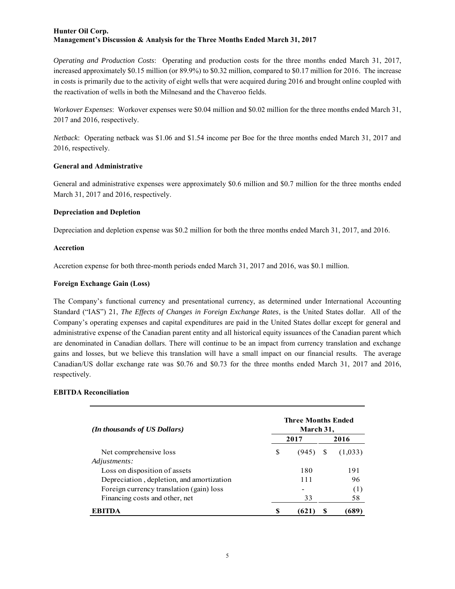*Operating and Production Costs*: Operating and production costs for the three months ended March 31, 2017, increased approximately \$0.15 million (or 89.9%) to \$0.32 million, compared to \$0.17 million for 2016. The increase in costs is primarily due to the activity of eight wells that were acquired during 2016 and brought online coupled with the reactivation of wells in both the Milnesand and the Chaveroo fields.

*Workover Expenses*: Workover expenses were \$0.04 million and \$0.02 million for the three months ended March 31, 2017 and 2016, respectively.

*Netback*: Operating netback was \$1.06 and \$1.54 income per Boe for the three months ended March 31, 2017 and 2016, respectively.

#### **General and Administrative**

General and administrative expenses were approximately \$0.6 million and \$0.7 million for the three months ended March 31, 2017 and 2016, respectively.

#### **Depreciation and Depletion**

Depreciation and depletion expense was \$0.2 million for both the three months ended March 31, 2017, and 2016.

#### **Accretion**

Accretion expense for both three-month periods ended March 31, 2017 and 2016, was \$0.1 million.

#### **Foreign Exchange Gain (Loss)**

The Company's functional currency and presentational currency, as determined under International Accounting Standard ("IAS") 21, *The Effects of Changes in Foreign Exchange Rates*, is the United States dollar. All of the Company's operating expenses and capital expenditures are paid in the United States dollar except for general and administrative expense of the Canadian parent entity and all historical equity issuances of the Canadian parent which are denominated in Canadian dollars. There will continue to be an impact from currency translation and exchange gains and losses, but we believe this translation will have a small impact on our financial results. The average Canadian/US dollar exchange rate was \$0.76 and \$0.73 for the three months ended March 31, 2017 and 2016, respectively.

# **EBITDA Reconciliation**

| (In thousands of US Dollars)              | <b>Three Months Ended</b><br>March 31, |                          |   |         |  |  |  |  |
|-------------------------------------------|----------------------------------------|--------------------------|---|---------|--|--|--|--|
|                                           | 2017                                   |                          |   | 2016    |  |  |  |  |
| Net comprehensive loss                    | S                                      | (945)                    | S | (1,033) |  |  |  |  |
| Adjustments:                              |                                        |                          |   |         |  |  |  |  |
| Loss on disposition of assets             |                                        | 180                      |   | 191     |  |  |  |  |
| Depreciation, depletion, and amortization |                                        | 111                      |   | 96      |  |  |  |  |
| Foreign currency translation (gain) loss  |                                        | $\overline{\phantom{0}}$ |   | (1)     |  |  |  |  |
| Financing costs and other, net            |                                        | 33                       |   | 58      |  |  |  |  |
| ERITDA                                    | S                                      | [62]                     |   | 689     |  |  |  |  |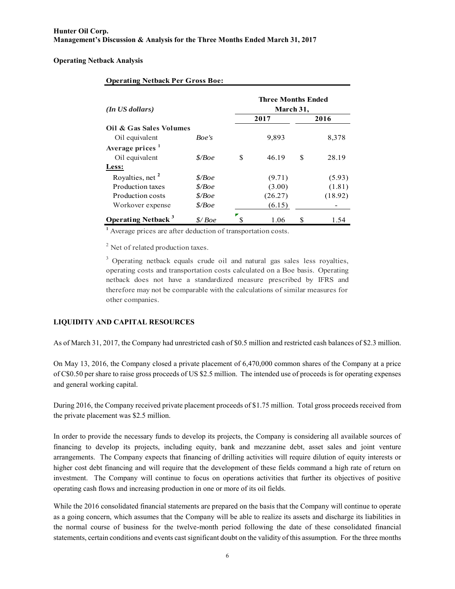**Operating Netback Analysis**

| $(In$ US dollars)                     |          | <b>Three Months Ended</b><br>March 31, |         |    |         |  |  |  |
|---------------------------------------|----------|----------------------------------------|---------|----|---------|--|--|--|
|                                       |          | 2017                                   | 2016    |    |         |  |  |  |
| Oil & Gas Sales Volumes               |          |                                        |         |    |         |  |  |  |
| Oil equivalent                        | Boe's    |                                        | 9,893   |    | 8,378   |  |  |  |
| Average prices $1$                    |          |                                        |         |    |         |  |  |  |
| Oil equivalent                        | \$/Boe   | S                                      | 46.19   | \$ | 28.19   |  |  |  |
| Less:                                 |          |                                        |         |    |         |  |  |  |
| Royalties, net <sup>2</sup>           | \$/Boe   |                                        | (9.71)  |    | (5.93)  |  |  |  |
| Production taxes                      | \$/Boe   |                                        | (3.00)  |    | (1.81)  |  |  |  |
| Production costs                      | \$/Boe\$ |                                        | (26.27) |    | (18.92) |  |  |  |
| Workover expense                      | \$/Boe   |                                        | (6.15)  |    |         |  |  |  |
| <b>Operating Netback</b> <sup>3</sup> | \$/Boe   |                                        | 1.06    | S  | 1.54    |  |  |  |

#### **Operating Netback Per Gross Boe:**

**1** Average prices are after deduction of transportation costs.

<sup>2</sup> Net of related production taxes.

<sup>3</sup> Operating netback equals crude oil and natural gas sales less royalties, The set of related production taxes.<br>
<sup>3</sup> Operating netback equals crude oil and natural gas sales less royalties,<br>
operating costs and transportation costs calculated on a Boe basis. Operating<br>
netheck does not have a sta <sup>3</sup> Operating netback equals crude oil and natural gas sales less royalties, operating costs and transportation costs calculated on a Boe basis. Operating netback does not have a standardized measure prescribed by IFRS and therefore may not be comparable with the calculations of similar measures for other companies.

#### **LIQUIDITY AND CAPITAL RESOURCES**

As of March 31, 2017, the Company had unrestricted cash of \$0.5 million and restricted cash balances of \$2.3 million.

On May 13, 2016, the Company closed a private placement of 6,470,000 common shares of the Company at a price of C\$0.50 per share to raise gross proceeds of US \$2.5 million. The intended use of proceeds is for operating expenses and general working capital.

During 2016, the Company received private placement proceeds of \$1.75 million. Total gross proceeds received from the private placement was \$2.5 million.

In order to provide the necessary funds to develop its projects, the Company is considering all available sources of financing to develop its projects, including equity, bank and mezzanine debt, asset sales and joint venture arrangements. The Company expects that financing of drilling activities will require dilution of equity interests or higher cost debt financing and will require that the development of these fields command a high rate of return on investment. The Company will continue to focus on operations activities that further its objectives of positive operating cash flows and increasing production in one or more of its oil fields.

While the 2016 consolidated financial statements are prepared on the basis that the Company will continue to operate as a going concern, which assumes that the Company will be able to realize its assets and discharge its liabilities in the normal course of business for the twelve-month period following the date of these consolidated financial statements, certain conditions and events cast significant doubt on the validity of this assumption. For the three months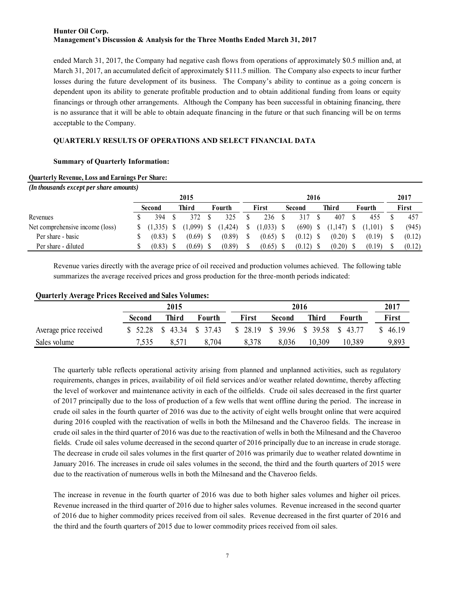ended March 31, 2017, the Company had negative cash flows from operations of approximately \$0.5 million and, at March 31, 2017, an accumulated deficit of approximately \$111.5 million. The Company also expects to incur further losses during the future development of its business. The Company's ability to continue as a going concern is dependent upon its ability to generate profitable production and to obtain additional funding from loans or equity financings or through other arrangements. Although the Company has been successful in obtaining financing, there is no assurance that it will be able to obtain adequate financing in the future or that such financing will be on terms acceptable to the Company.

# **QUARTERLY RESULTS OF OPERATIONS AND SELECT FINANCIAL DATA**

## **Summary of Quarterly Information:**

#### **Quarterly Revenue, Loss and Earnings Per Share:**

| <b>Quarterly Revenue, Loss and Earnings Per Share:</b> |              |              |          |   |              |             |              |              |         |        |
|--------------------------------------------------------|--------------|--------------|----------|---|--------------|-------------|--------------|--------------|---------|--------|
| (In thousands except per share amounts)                |              |              |          |   |              |             |              |              |         |        |
|                                                        |              | 2015         |          |   |              | 2016        |              |              |         | 2017   |
|                                                        | Second       | Third        | Fourth   |   | First        | Second      | <b>Third</b> |              | Fourth  | First  |
| Revenues                                               | 394          | 372          | 325      |   | 236          | 317         | 407          |              | 455     | 457    |
| Net comprehensive income (loss)                        | $(1,335)$ \$ | $(1,099)$ \$ | (1, 424) | S | $(1,033)$ \$ | $(690)$ \$  | (1,147)      | <sup>8</sup> | (1,101) | (945)  |
| Per share - basic                                      | $(0.83)$ \$  | $(0.69)$ \$  | (0.89)   |   | $(0.65)$ \$  | $(0.12)$ \$ | (0.20)       | -S           | (0.19)  | (0.12) |
| Per share - diluted                                    | $(0.83)$ \$  | $(0.69)$ \$  | (0.89)   |   | $(0.65)$ \$  | (0.12)      | (0.20)       |              | (0.19)  | (0.12) |

Revenue varies directly with the average price of oil received and production volumes achieved. The following table summarizes the average received prices and gross production for the three-month periods indicated:

# **Quarterly Average Prices Received and Sales Volumes:**

| <b>Quarterly Average Prices Received and Sales Volumes:</b> |               | 2015              |        |                                     |               | 2016   |        | 2017    |
|-------------------------------------------------------------|---------------|-------------------|--------|-------------------------------------|---------------|--------|--------|---------|
|                                                             | <b>Second</b> | Third             | Fourth | First                               | <b>Second</b> | Third  | Fourth | First   |
| Average price received                                      | \$ 52.28      | $$43.34$ $$37.43$ |        | $$28.19$ \$ 39.96 \$ 39.58 \$ 43.77 |               |        |        | \$46.19 |
| Sales volume                                                | 7,535         | 8,571             | 8,704  | 8,378                               | 8,036         | 10,309 | 10.389 | 9,893   |

The quarterly table reflects operational activity arising from planned and unplanned activities, such as regulatory requirements, changes in prices, availability of oil field services and/or weather related downtime, thereby affecting the level of workover and maintenance activity in each of the oilfields. Crude oil sales decreased in the first quarter of 2017 principally due to the loss of production of a few wells that went offline during the period. The increase in crude oil sales in the fourth quarter of 2016 was due to the activity of eight wells brought online that were acquired during 2016 coupled with the reactivation of wells in both the Milnesand and the Chaveroo fields. The increase in crude oil sales in the third quarter of 2016 was due to the reactivation of wells in both the Milnesand and the Chaveroo fields. Crude oil sales volume decreased in the second quarter of 2016 principally due to an increase in crude storage. The decrease in crude oil sales volumes in the first quarter of 2016 was primarily due to weather related downtime in January 2016. The increases in crude oil sales volumes in the second, the third and the fourth quarters of 2015 were due to the reactivation of numerous wells in both the Milnesand and the Chaveroo fields.

The increase in revenue in the fourth quarter of 2016 was due to both higher sales volumes and higher oil prices. Revenue increased in the third quarter of 2016 due to higher sales volumes. Revenue increased in the second quarter of 2016 due to higher commodity prices received from oil sales. Revenue decreased in the first quarter of 2016 and the third and the fourth quarters of 2015 due to lower commodity prices received from oil sales.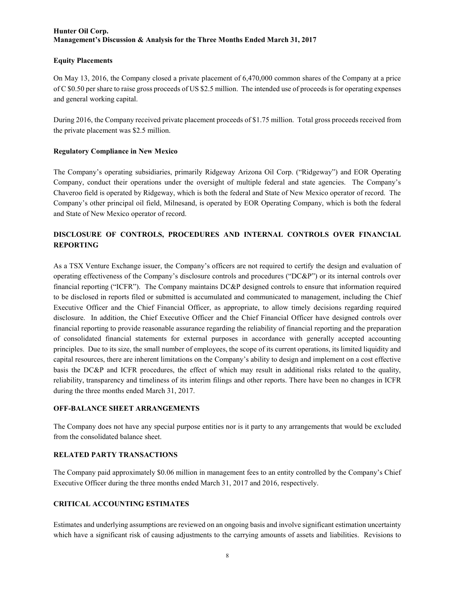#### **Equity Placements**

On May 13, 2016, the Company closed a private placement of 6,470,000 common shares of the Company at a price of C \$0.50 per share to raise gross proceeds of US \$2.5 million. The intended use of proceeds is for operating expenses and general working capital.

During 2016, the Company received private placement proceeds of \$1.75 million. Total gross proceeds received from the private placement was \$2.5 million.

# **Regulatory Compliance in New Mexico**

The Company's operating subsidiaries, primarily Ridgeway Arizona Oil Corp. ("Ridgeway") and EOR Operating Company, conduct their operations under the oversight of multiple federal and state agencies. The Company's Chaveroo field is operated by Ridgeway, which is both the federal and State of New Mexico operator of record. The Company's other principal oil field, Milnesand, is operated by EOR Operating Company, which is both the federal and State of New Mexico operator of record.

# **DISCLOSURE OF CONTROLS, PROCEDURES AND INTERNAL CONTROLS OVER FINANCIAL REPORTING**

As a TSX Venture Exchange issuer, the Company's officers are not required to certify the design and evaluation of operating effectiveness of the Company's disclosure controls and procedures ("DC&P") or its internal controls over financial reporting ("ICFR"). The Company maintains DC&P designed controls to ensure that information required to be disclosed in reports filed or submitted is accumulated and communicated to management, including the Chief Executive Officer and the Chief Financial Officer, as appropriate, to allow timely decisions regarding required disclosure. In addition, the Chief Executive Officer and the Chief Financial Officer have designed controls over financial reporting to provide reasonable assurance regarding the reliability of financial reporting and the preparation of consolidated financial statements for external purposes in accordance with generally accepted accounting principles. Due to its size, the small number of employees, the scope of its current operations, its limited liquidity and capital resources, there are inherent limitations on the Company's ability to design and implement on a cost effective basis the DC&P and ICFR procedures, the effect of which may result in additional risks related to the quality, reliability, transparency and timeliness of its interim filings and other reports. There have been no changes in ICFR during the three months ended March 31, 2017.

#### **OFF-BALANCE SHEET ARRANGEMENTS**

The Company does not have any special purpose entities nor is it party to any arrangements that would be excluded from the consolidated balance sheet.

# **RELATED PARTY TRANSACTIONS**

The Company paid approximately \$0.06 million in management fees to an entity controlled by the Company's Chief Executive Officer during the three months ended March 31, 2017 and 2016, respectively.

# **CRITICAL ACCOUNTING ESTIMATES**

Estimates and underlying assumptions are reviewed on an ongoing basis and involve significant estimation uncertainty which have a significant risk of causing adjustments to the carrying amounts of assets and liabilities. Revisions to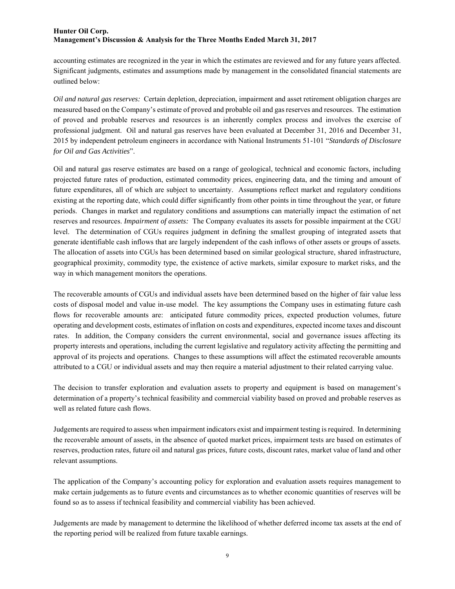accounting estimates are recognized in the year in which the estimates are reviewed and for any future years affected. Significant judgments, estimates and assumptions made by management in the consolidated financial statements are outlined below:

*Oil and natural gas reserves:* Certain depletion, depreciation, impairment and asset retirement obligation charges are measured based on the Company's estimate of proved and probable oil and gas reserves and resources. The estimation of proved and probable reserves and resources is an inherently complex process and involves the exercise of professional judgment. Oil and natural gas reserves have been evaluated at December 31, 2016 and December 31, 2015 by independent petroleum engineers in accordance with National Instruments 51-101 "*Standards of Disclosure for Oil and Gas Activities*".

Oil and natural gas reserve estimates are based on a range of geological, technical and economic factors, including projected future rates of production, estimated commodity prices, engineering data, and the timing and amount of future expenditures, all of which are subject to uncertainty. Assumptions reflect market and regulatory conditions existing at the reporting date, which could differ significantly from other points in time throughout the year, or future periods. Changes in market and regulatory conditions and assumptions can materially impact the estimation of net reserves and resources. *Impairment of assets:* The Company evaluates its assets for possible impairment at the CGU level. The determination of CGUs requires judgment in defining the smallest grouping of integrated assets that generate identifiable cash inflows that are largely independent of the cash inflows of other assets or groups of assets. The allocation of assets into CGUs has been determined based on similar geological structure, shared infrastructure, geographical proximity, commodity type, the existence of active markets, similar exposure to market risks, and the way in which management monitors the operations.

The recoverable amounts of CGUs and individual assets have been determined based on the higher of fair value less costs of disposal model and value in-use model. The key assumptions the Company uses in estimating future cash flows for recoverable amounts are: anticipated future commodity prices, expected production volumes, future operating and development costs, estimates of inflation on costs and expenditures, expected income taxes and discount rates. In addition, the Company considers the current environmental, social and governance issues affecting its property interests and operations, including the current legislative and regulatory activity affecting the permitting and approval of its projects and operations. Changes to these assumptions will affect the estimated recoverable amounts attributed to a CGU or individual assets and may then require a material adjustment to their related carrying value.

The decision to transfer exploration and evaluation assets to property and equipment is based on management's determination of a property's technical feasibility and commercial viability based on proved and probable reserves as well as related future cash flows.

Judgements are required to assess when impairment indicators exist and impairment testing is required. In determining the recoverable amount of assets, in the absence of quoted market prices, impairment tests are based on estimates of reserves, production rates, future oil and natural gas prices, future costs, discount rates, market value of land and other relevant assumptions.

The application of the Company's accounting policy for exploration and evaluation assets requires management to make certain judgements as to future events and circumstances as to whether economic quantities of reserves will be found so as to assess if technical feasibility and commercial viability has been achieved.

Judgements are made by management to determine the likelihood of whether deferred income tax assets at the end of the reporting period will be realized from future taxable earnings.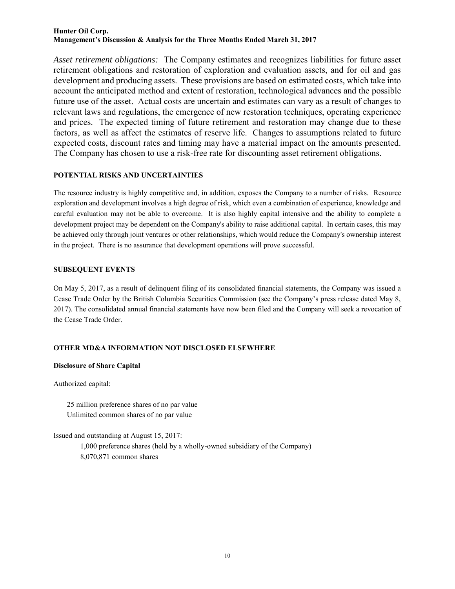*Asset retirement obligations:* The Company estimates and recognizes liabilities for future asset retirement obligations and restoration of exploration and evaluation assets, and for oil and gas development and producing assets. These provisions are based on estimated costs, which take into account the anticipated method and extent of restoration, technological advances and the possible future use of the asset. Actual costs are uncertain and estimates can vary as a result of changes to relevant laws and regulations, the emergence of new restoration techniques, operating experience and prices. The expected timing of future retirement and restoration may change due to these factors, as well as affect the estimates of reserve life. Changes to assumptions related to future expected costs, discount rates and timing may have a material impact on the amounts presented. The Company has chosen to use a risk-free rate for discounting asset retirement obligations.

## **POTENTIAL RISKS AND UNCERTAINTIES**

The resource industry is highly competitive and, in addition, exposes the Company to a number of risks. Resource exploration and development involves a high degree of risk, which even a combination of experience, knowledge and careful evaluation may not be able to overcome. It is also highly capital intensive and the ability to complete a development project may be dependent on the Company's ability to raise additional capital. In certain cases, this may be achieved only through joint ventures or other relationships, which would reduce the Company's ownership interest in the project. There is no assurance that development operations will prove successful.

# **SUBSEQUENT EVENTS**

On May 5, 2017, as a result of delinquent filing of its consolidated financial statements, the Company was issued a Cease Trade Order by the British Columbia Securities Commission (see the Company's press release dated May 8, 2017). The consolidated annual financial statements have now been filed and the Company will seek a revocation of the Cease Trade Order.

# **OTHER MD&A INFORMATION NOT DISCLOSED ELSEWHERE**

#### **Disclosure of Share Capital**

Authorized capital:

25 million preference shares of no par value Unlimited common shares of no par value

Issued and outstanding at August 15, 2017:

1,000 preference shares (held by a wholly-owned subsidiary of the Company) 8,070,871 common shares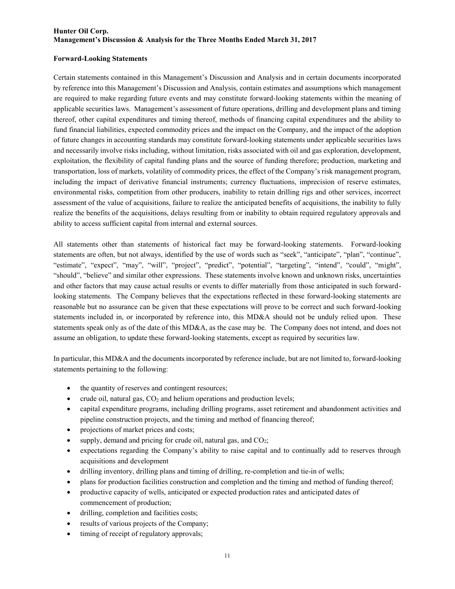#### **Forward-Looking Statements**

Certain statements contained in this Management's Discussion and Analysis and in certain documents incorporated by reference into this Management's Discussion and Analysis, contain estimates and assumptions which management are required to make regarding future events and may constitute forward-looking statements within the meaning of applicable securities laws. Management's assessment of future operations, drilling and development plans and timing thereof, other capital expenditures and timing thereof, methods of financing capital expenditures and the ability to fund financial liabilities, expected commodity prices and the impact on the Company, and the impact of the adoption of future changes in accounting standards may constitute forward-looking statements under applicable securities laws and necessarily involve risks including, without limitation, risks associated with oil and gas exploration, development, exploitation, the flexibility of capital funding plans and the source of funding therefore; production, marketing and transportation, loss of markets, volatility of commodity prices, the effect of the Company's risk management program, including the impact of derivative financial instruments; currency fluctuations, imprecision of reserve estimates, environmental risks, competition from other producers, inability to retain drilling rigs and other services, incorrect assessment of the value of acquisitions, failure to realize the anticipated benefits of acquisitions, the inability to fully realize the benefits of the acquisitions, delays resulting from or inability to obtain required regulatory approvals and ability to access sufficient capital from internal and external sources.

All statements other than statements of historical fact may be forward-looking statements. Forward-looking statements are often, but not always, identified by the use of words such as "seek", "anticipate", "plan", "continue", "estimate", "expect", "may", "will", "project", "predict", "potential", "targeting", "intend", "could", "might", "should", "believe" and similar other expressions. These statements involve known and unknown risks, uncertainties and other factors that may cause actual results or events to differ materially from those anticipated in such forwardlooking statements. The Company believes that the expectations reflected in these forward-looking statements are reasonable but no assurance can be given that these expectations will prove to be correct and such forward-looking statements included in, or incorporated by reference into, this MD&A should not be unduly relied upon. These statements speak only as of the date of this MD&A, as the case may be. The Company does not intend, and does not assume an obligation, to update these forward-looking statements, except as required by securities law.

In particular, this MD&A and the documents incorporated by reference include, but are not limited to, forward-looking statements pertaining to the following:

- the quantity of reserves and contingent resources;
- crude oil, natural gas,  $CO<sub>2</sub>$  and helium operations and production levels;
- capital expenditure programs, including drilling programs, asset retirement and abandonment activities and pipeline construction projects, and the timing and method of financing thereof;
- projections of market prices and costs;
- supply, demand and pricing for crude oil, natural gas, and  $CO<sub>2</sub>$ ;
- expectations regarding the Company's ability to raise capital and to continually add to reserves through acquisitions and development
- drilling inventory, drilling plans and timing of drilling, re-completion and tie-in of wells;
- plans for production facilities construction and completion and the timing and method of funding thereof;
- productive capacity of wells, anticipated or expected production rates and anticipated dates of commencement of production;
- drilling, completion and facilities costs;
- results of various projects of the Company;
- timing of receipt of regulatory approvals;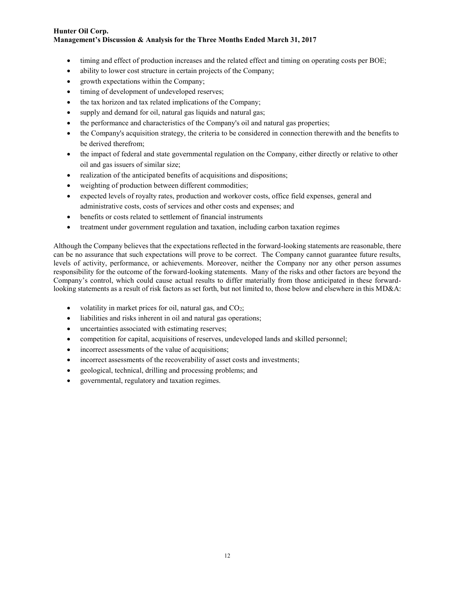- timing and effect of production increases and the related effect and timing on operating costs per BOE;
- ability to lower cost structure in certain projects of the Company;
- growth expectations within the Company;
- timing of development of undeveloped reserves;
- the tax horizon and tax related implications of the Company;
- supply and demand for oil, natural gas liquids and natural gas;
- the performance and characteristics of the Company's oil and natural gas properties;
- the Company's acquisition strategy, the criteria to be considered in connection therewith and the benefits to be derived therefrom;
- the impact of federal and state governmental regulation on the Company, either directly or relative to other oil and gas issuers of similar size;
- realization of the anticipated benefits of acquisitions and dispositions;
- weighting of production between different commodities;
- expected levels of royalty rates, production and workover costs, office field expenses, general and administrative costs, costs of services and other costs and expenses; and
- benefits or costs related to settlement of financial instruments
- treatment under government regulation and taxation, including carbon taxation regimes

Although the Company believes that the expectations reflected in the forward-looking statements are reasonable, there can be no assurance that such expectations will prove to be correct. The Company cannot guarantee future results, levels of activity, performance, or achievements. Moreover, neither the Company nor any other person assumes responsibility for the outcome of the forward-looking statements. Many of the risks and other factors are beyond the Company's control, which could cause actual results to differ materially from those anticipated in these forwardlooking statements as a result of risk factors as set forth, but not limited to, those below and elsewhere in this MD&A:

- volatility in market prices for oil, natural gas, and  $CO<sub>2</sub>$ ;
- liabilities and risks inherent in oil and natural gas operations;
- uncertainties associated with estimating reserves;
- competition for capital, acquisitions of reserves, undeveloped lands and skilled personnel;
- incorrect assessments of the value of acquisitions;
- incorrect assessments of the recoverability of asset costs and investments;
- geological, technical, drilling and processing problems; and
- governmental, regulatory and taxation regimes.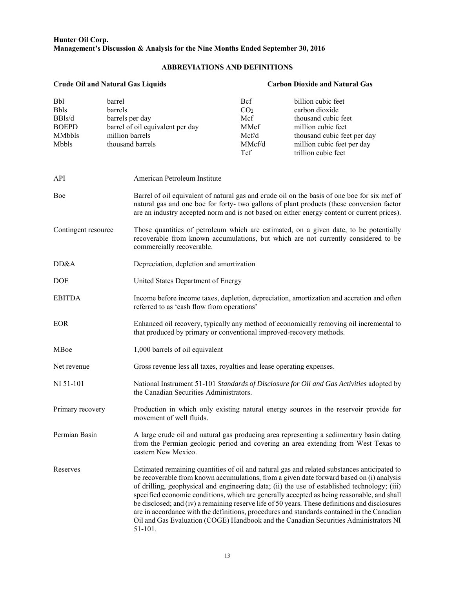#### **Hunter Oil Corp. Management's Discussion & Analysis for the Nine Months Ended September 30, 2016**

# **ABBREVIATIONS AND DEFINITIONS**

| <b>Crude Oil and Natural Gas Liquids</b>                 |                                                                |                                                                       | <b>Carbon Dioxide and Natural Gas</b>                                  |                                                                                                                                                                                                                                                                                                                                                                                                                                                                                                                                                                                                                                                                               |  |  |  |  |  |  |  |
|----------------------------------------------------------|----------------------------------------------------------------|-----------------------------------------------------------------------|------------------------------------------------------------------------|-------------------------------------------------------------------------------------------------------------------------------------------------------------------------------------------------------------------------------------------------------------------------------------------------------------------------------------------------------------------------------------------------------------------------------------------------------------------------------------------------------------------------------------------------------------------------------------------------------------------------------------------------------------------------------|--|--|--|--|--|--|--|
| Bbl<br>Bbls<br>BBls/d<br><b>BOEPD</b><br>MMbbls<br>Mbbls | barrel<br><b>barrels</b><br>barrels per day<br>million barrels | barrel of oil equivalent per day<br>thousand barrels                  | <b>Bcf</b><br>CO <sub>2</sub><br>Mcf<br>MMcf<br>Mcf/d<br>MMcf/d<br>Tcf | billion cubic feet<br>carbon dioxide<br>thousand cubic feet<br>million cubic feet<br>thousand cubic feet per day<br>million cubic feet per day<br>trillion cubic feet                                                                                                                                                                                                                                                                                                                                                                                                                                                                                                         |  |  |  |  |  |  |  |
| API                                                      |                                                                | American Petroleum Institute                                          |                                                                        |                                                                                                                                                                                                                                                                                                                                                                                                                                                                                                                                                                                                                                                                               |  |  |  |  |  |  |  |
| Boe                                                      |                                                                |                                                                       |                                                                        | Barrel of oil equivalent of natural gas and crude oil on the basis of one boe for six mcf of<br>natural gas and one boe for forty- two gallons of plant products (these conversion factor<br>are an industry accepted norm and is not based on either energy content or current prices).                                                                                                                                                                                                                                                                                                                                                                                      |  |  |  |  |  |  |  |
| Contingent resource                                      |                                                                | commercially recoverable.                                             |                                                                        | Those quantities of petroleum which are estimated, on a given date, to be potentially<br>recoverable from known accumulations, but which are not currently considered to be                                                                                                                                                                                                                                                                                                                                                                                                                                                                                                   |  |  |  |  |  |  |  |
| DD&A                                                     |                                                                | Depreciation, depletion and amortization                              |                                                                        |                                                                                                                                                                                                                                                                                                                                                                                                                                                                                                                                                                                                                                                                               |  |  |  |  |  |  |  |
| DOE                                                      |                                                                | United States Department of Energy                                    |                                                                        |                                                                                                                                                                                                                                                                                                                                                                                                                                                                                                                                                                                                                                                                               |  |  |  |  |  |  |  |
| <b>EBITDA</b>                                            |                                                                | referred to as 'cash flow from operations'                            |                                                                        | Income before income taxes, depletion, depreciation, amortization and accretion and often                                                                                                                                                                                                                                                                                                                                                                                                                                                                                                                                                                                     |  |  |  |  |  |  |  |
| <b>EOR</b>                                               |                                                                | that produced by primary or conventional improved-recovery methods.   |                                                                        | Enhanced oil recovery, typically any method of economically removing oil incremental to                                                                                                                                                                                                                                                                                                                                                                                                                                                                                                                                                                                       |  |  |  |  |  |  |  |
| MBoe                                                     |                                                                | 1,000 barrels of oil equivalent                                       |                                                                        |                                                                                                                                                                                                                                                                                                                                                                                                                                                                                                                                                                                                                                                                               |  |  |  |  |  |  |  |
| Net revenue                                              |                                                                | Gross revenue less all taxes, royalties and lease operating expenses. |                                                                        |                                                                                                                                                                                                                                                                                                                                                                                                                                                                                                                                                                                                                                                                               |  |  |  |  |  |  |  |
| NI 51-101                                                |                                                                | the Canadian Securities Administrators.                               |                                                                        | National Instrument 51-101 Standards of Disclosure for Oil and Gas Activities adopted by                                                                                                                                                                                                                                                                                                                                                                                                                                                                                                                                                                                      |  |  |  |  |  |  |  |
| Primary recovery                                         |                                                                | movement of well fluids.                                              |                                                                        | Production in which only existing natural energy sources in the reservoir provide for                                                                                                                                                                                                                                                                                                                                                                                                                                                                                                                                                                                         |  |  |  |  |  |  |  |
| Permian Basin                                            |                                                                | eastern New Mexico.                                                   |                                                                        | A large crude oil and natural gas producing area representing a sedimentary basin dating<br>from the Permian geologic period and covering an area extending from West Texas to                                                                                                                                                                                                                                                                                                                                                                                                                                                                                                |  |  |  |  |  |  |  |
| Reserves                                                 |                                                                | 51-101.                                                               |                                                                        | Estimated remaining quantities of oil and natural gas and related substances anticipated to<br>be recoverable from known accumulations, from a given date forward based on (i) analysis<br>of drilling, geophysical and engineering data; (ii) the use of established technology; (iii)<br>specified economic conditions, which are generally accepted as being reasonable, and shall<br>be disclosed; and (iv) a remaining reserve life of 50 years. These definitions and disclosures<br>are in accordance with the definitions, procedures and standards contained in the Canadian<br>Oil and Gas Evaluation (COGE) Handbook and the Canadian Securities Administrators NI |  |  |  |  |  |  |  |